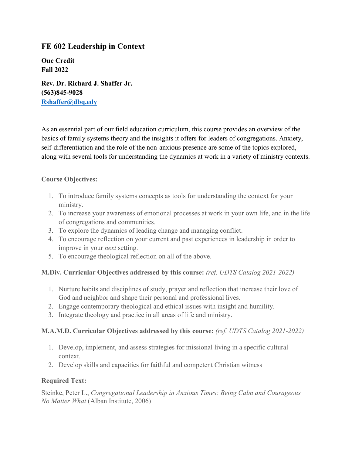# **FE 602 Leadership in Context**

**One Credit Fall 2022**

**Rev. Dr. Richard J. Shaffer Jr. (563)845-9028 [Rshaffer@dbq.edy](mailto:Rshaffer@dbq.edy)**

As an essential part of our field education curriculum, this course provides an overview of the basics of family systems theory and the insights it offers for leaders of congregations. Anxiety, self-differentiation and the role of the non-anxious presence are some of the topics explored, along with several tools for understanding the dynamics at work in a variety of ministry contexts.

### **Course Objectives:**

- 1. To introduce family systems concepts as tools for understanding the context for your ministry.
- 2. To increase your awareness of emotional processes at work in your own life, and in the life of congregations and communities.
- 3. To explore the dynamics of leading change and managing conflict.
- 4. To encourage reflection on your current and past experiences in leadership in order to improve in your *next* setting.
- 5. To encourage theological reflection on all of the above.

# **M.Div. Curricular Objectives addressed by this course:** *(ref. UDTS Catalog 2021-2022)*

- 1. Nurture habits and disciplines of study, prayer and reflection that increase their love of God and neighbor and shape their personal and professional lives.
- 2. Engage contemporary theological and ethical issues with insight and humility.
- 3. Integrate theology and practice in all areas of life and ministry.

# **M.A.M.D. Curricular Objectives addressed by this course:** *(ref. UDTS Catalog 2021-2022)*

- 1. Develop, implement, and assess strategies for missional living in a specific cultural context.
- 2. Develop skills and capacities for faithful and competent Christian witness

#### **Required Text:**

Steinke, Peter L., *Congregational Leadership in Anxious Times: Being Calm and Courageous No Matter What* (Alban Institute, 2006)